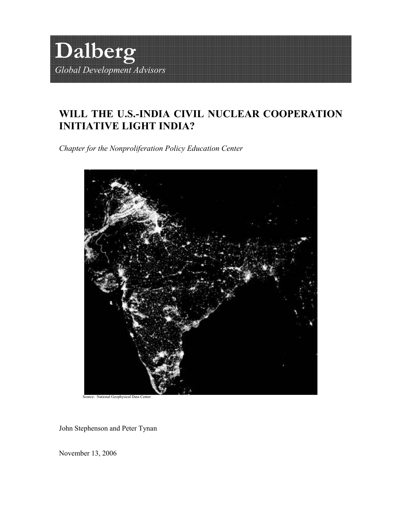

# WILL THE U.S.-INDIA CIVIL NUCLEAR COOPERATION INITIATIVE LIGHT INDIA?

Chapter for the Nonproliferation Policy Education Center



Source: National Geophysical Data Center

John Stephenson and Peter Tynan

November 13, 2006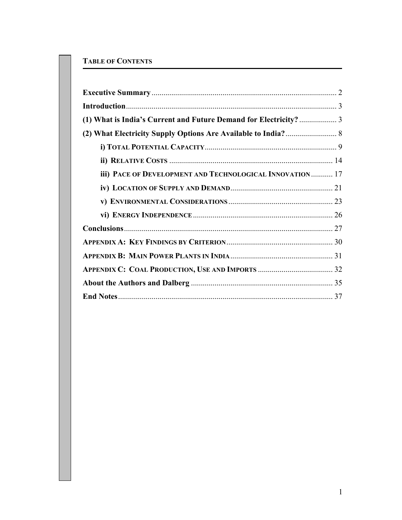# TABLE OF CONTENTS

| iii) PACE OF DEVELOPMENT AND TECHNOLOGICAL INNOVATION  17 |  |
|-----------------------------------------------------------|--|
|                                                           |  |
|                                                           |  |
|                                                           |  |
|                                                           |  |
|                                                           |  |
|                                                           |  |
|                                                           |  |
|                                                           |  |
|                                                           |  |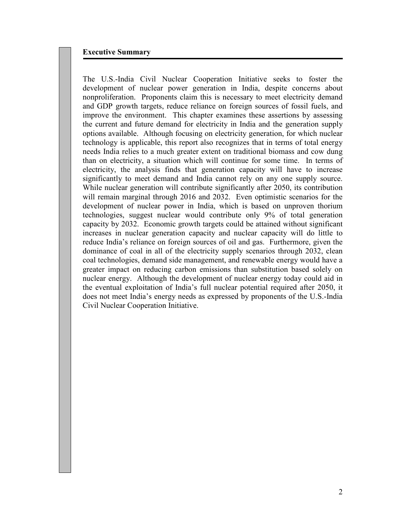# Executive Summary

The U.S.-India Civil Nuclear Cooperation Initiative seeks to foster the development of nuclear power generation in India, despite concerns about nonproliferation. Proponents claim this is necessary to meet electricity demand and GDP growth targets, reduce reliance on foreign sources of fossil fuels, and improve the environment. This chapter examines these assertions by assessing the current and future demand for electricity in India and the generation supply options available. Although focusing on electricity generation, for which nuclear technology is applicable, this report also recognizes that in terms of total energy needs India relies to a much greater extent on traditional biomass and cow dung than on electricity, a situation which will continue for some time. In terms of electricity, the analysis finds that generation capacity will have to increase significantly to meet demand and India cannot rely on any one supply source. While nuclear generation will contribute significantly after 2050, its contribution will remain marginal through 2016 and 2032. Even optimistic scenarios for the development of nuclear power in India, which is based on unproven thorium technologies, suggest nuclear would contribute only 9% of total generation capacity by 2032. Economic growth targets could be attained without significant increases in nuclear generation capacity and nuclear capacity will do little to reduce India's reliance on foreign sources of oil and gas. Furthermore, given the dominance of coal in all of the electricity supply scenarios through 2032, clean coal technologies, demand side management, and renewable energy would have a greater impact on reducing carbon emissions than substitution based solely on nuclear energy. Although the development of nuclear energy today could aid in the eventual exploitation of India's full nuclear potential required after 2050, it does not meet India's energy needs as expressed by proponents of the U.S.-India Civil Nuclear Cooperation Initiative.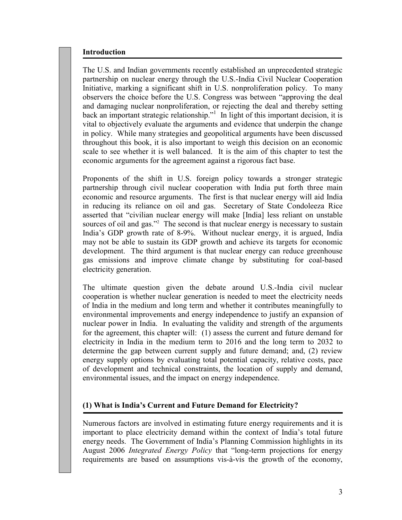# Introduction

The U.S. and Indian governments recently established an unprecedented strategic partnership on nuclear energy through the U.S.-India Civil Nuclear Cooperation Initiative, marking a significant shift in U.S. nonproliferation policy. To many observers the choice before the U.S. Congress was between "approving the deal and damaging nuclear nonproliferation, or rejecting the deal and thereby setting back an important strategic relationship."<sup>1</sup> In light of this important decision, it is vital to objectively evaluate the arguments and evidence that underpin the change in policy. While many strategies and geopolitical arguments have been discussed throughout this book, it is also important to weigh this decision on an economic scale to see whether it is well balanced. It is the aim of this chapter to test the economic arguments for the agreement against a rigorous fact base.

Proponents of the shift in U.S. foreign policy towards a stronger strategic partnership through civil nuclear cooperation with India put forth three main economic and resource arguments. The first is that nuclear energy will aid India in reducing its reliance on oil and gas. Secretary of State Condoleeza Rice asserted that "civilian nuclear energy will make [India] less reliant on unstable sources of oil and gas."<sup>2</sup> The second is that nuclear energy is necessary to sustain India's GDP growth rate of 8-9%. Without nuclear energy, it is argued, India may not be able to sustain its GDP growth and achieve its targets for economic development. The third argument is that nuclear energy can reduce greenhouse gas emissions and improve climate change by substituting for coal-based electricity generation.

The ultimate question given the debate around U.S.-India civil nuclear cooperation is whether nuclear generation is needed to meet the electricity needs of India in the medium and long term and whether it contributes meaningfully to environmental improvements and energy independence to justify an expansion of nuclear power in India. In evaluating the validity and strength of the arguments for the agreement, this chapter will: (1) assess the current and future demand for electricity in India in the medium term to 2016 and the long term to 2032 to determine the gap between current supply and future demand; and, (2) review energy supply options by evaluating total potential capacity, relative costs, pace of development and technical constraints, the location of supply and demand, environmental issues, and the impact on energy independence.

# (1) What is India's Current and Future Demand for Electricity?

Numerous factors are involved in estimating future energy requirements and it is important to place electricity demand within the context of India's total future energy needs. The Government of India's Planning Commission highlights in its August 2006 Integrated Energy Policy that "long-term projections for energy requirements are based on assumptions vis-à-vis the growth of the economy,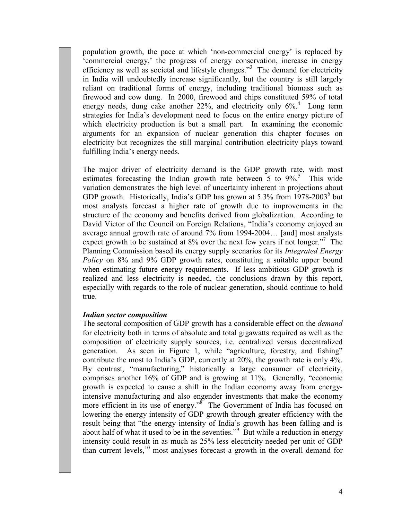population growth, the pace at which 'non-commercial energy' is replaced by 'commercial energy,' the progress of energy conservation, increase in energy efficiency as well as societal and lifestyle changes."<sup>3</sup> The demand for electricity in India will undoubtedly increase significantly, but the country is still largely reliant on traditional forms of energy, including traditional biomass such as firewood and cow dung. In 2000, firewood and chips constituted 59% of total energy needs, dung cake another 22%, and electricity only 6%.<sup>4</sup> Long term strategies for India's development need to focus on the entire energy picture of which electricity production is but a small part. In examining the economic arguments for an expansion of nuclear generation this chapter focuses on electricity but recognizes the still marginal contribution electricity plays toward fulfilling India's energy needs.

The major driver of electricity demand is the GDP growth rate, with most estimates forecasting the Indian growth rate between  $5$  to  $9\%$ <sup>5</sup>. This wide variation demonstrates the high level of uncertainty inherent in projections about GDP growth. Historically, India's GDP has grown at 5.3% from  $1978-2003^6$  but most analysts forecast a higher rate of growth due to improvements in the structure of the economy and benefits derived from globalization. According to David Victor of the Council on Foreign Relations, "India's economy enjoyed an average annual growth rate of around 7% from 1994-2004… [and] most analysts expect growth to be sustained at 8% over the next few years if not longer."<sup>7</sup> The Planning Commission based its energy supply scenarios for its *Integrated Energy* Policy on 8% and 9% GDP growth rates, constituting a suitable upper bound when estimating future energy requirements. If less ambitious GDP growth is realized and less electricity is needed, the conclusions drawn by this report, especially with regards to the role of nuclear generation, should continue to hold true.

#### Indian sector composition

The sectoral composition of GDP growth has a considerable effect on the demand for electricity both in terms of absolute and total gigawatts required as well as the composition of electricity supply sources, i.e. centralized versus decentralized generation. As seen in Figure 1, while "agriculture, forestry, and fishing" contribute the most to India's GDP, currently at 20%, the growth rate is only 4%. By contrast, "manufacturing," historically a large consumer of electricity, comprises another 16% of GDP and is growing at 11%. Generally, "economic growth is expected to cause a shift in the Indian economy away from energyintensive manufacturing and also engender investments that make the economy more efficient in its use of energy."<sup>8</sup> The Government of India has focused on lowering the energy intensity of GDP growth through greater efficiency with the result being that "the energy intensity of India's growth has been falling and is about half of what it used to be in the seventies."<sup>9</sup> But while a reduction in energy intensity could result in as much as 25% less electricity needed per unit of GDP than current levels,<sup>10</sup> most analyses forecast a growth in the overall demand for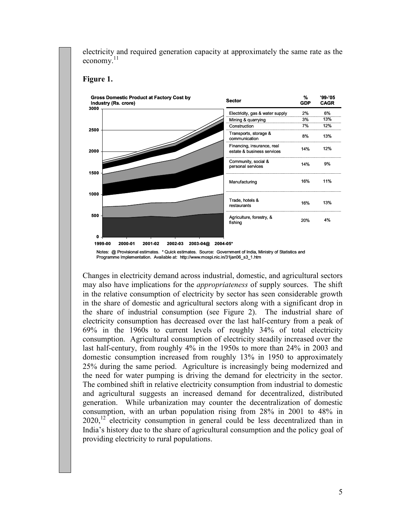electricity and required generation capacity at approximately the same rate as the economy. $^{11}$ 



#### Figure 1.

Notes: @ Provisional estimates. \* Quick estimates. Source: Government of India, Ministry of Statistics and Programme Implementation. Available at: http://www.mospi.nic.in/31jan06\_s3\_1.htm

Changes in electricity demand across industrial, domestic, and agricultural sectors may also have implications for the appropriateness of supply sources. The shift in the relative consumption of electricity by sector has seen considerable growth in the share of domestic and agricultural sectors along with a significant drop in the share of industrial consumption (see Figure 2). The industrial share of electricity consumption has decreased over the last half-century from a peak of 69% in the 1960s to current levels of roughly 34% of total electricity consumption. Agricultural consumption of electricity steadily increased over the last half-century, from roughly 4% in the 1950s to more than 24% in 2003 and domestic consumption increased from roughly 13% in 1950 to approximately 25% during the same period. Agriculture is increasingly being modernized and the need for water pumping is driving the demand for electricity in the sector. The combined shift in relative electricity consumption from industrial to domestic and agricultural suggests an increased demand for decentralized, distributed generation. While urbanization may counter the decentralization of domestic consumption, with an urban population rising from 28% in 2001 to 48% in 2020,<sup>12</sup> electricity consumption in general could be less decentralized than in India's history due to the share of agricultural consumption and the policy goal of providing electricity to rural populations.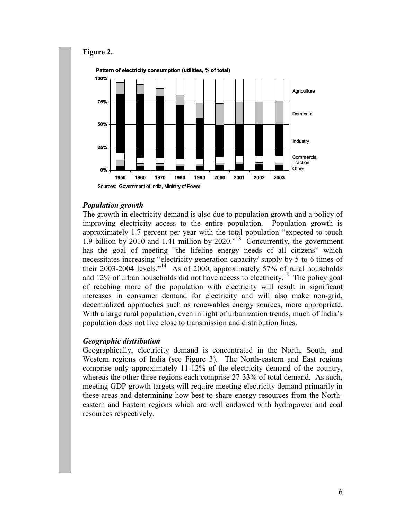

# Population growth

The growth in electricity demand is also due to population growth and a policy of improving electricity access to the entire population. Population growth is approximately 1.7 percent per year with the total population "expected to touch 1.9 billion by 2010 and 1.41 million by 2020.<sup> $n^{13}$ </sup> Concurrently, the government has the goal of meeting "the lifeline energy needs of all citizens" which necessitates increasing "electricity generation capacity/ supply by 5 to 6 times of their 2003-2004 levels."<sup>14</sup> As of 2000, approximately 57% of rural households and 12% of urban households did not have access to electricity.<sup>15</sup> The policy goal of reaching more of the population with electricity will result in significant increases in consumer demand for electricity and will also make non-grid, decentralized approaches such as renewables energy sources, more appropriate. With a large rural population, even in light of urbanization trends, much of India's population does not live close to transmission and distribution lines.

### Geographic distribution

Geographically, electricity demand is concentrated in the North, South, and Western regions of India (see Figure 3). The North-eastern and East regions comprise only approximately 11-12% of the electricity demand of the country, whereas the other three regions each comprise 27-33% of total demand. As such, meeting GDP growth targets will require meeting electricity demand primarily in these areas and determining how best to share energy resources from the Northeastern and Eastern regions which are well endowed with hydropower and coal resources respectively.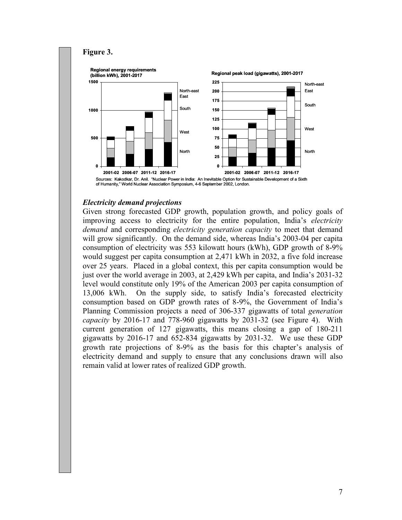#### Figure 3.





# Electricity demand projections

Given strong forecasted GDP growth, population growth, and policy goals of improving access to electricity for the entire population, India's electricity demand and corresponding *electricity generation capacity* to meet that demand will grow significantly. On the demand side, whereas India's 2003-04 per capita consumption of electricity was 553 kilowatt hours (kWh), GDP growth of 8-9% would suggest per capita consumption at 2,471 kWh in 2032, a five fold increase over 25 years. Placed in a global context, this per capita consumption would be just over the world average in 2003, at 2,429 kWh per capita, and India's 2031-32 level would constitute only 19% of the American 2003 per capita consumption of 13,006 kWh. On the supply side, to satisfy India's forecasted electricity consumption based on GDP growth rates of 8-9%, the Government of India's Planning Commission projects a need of 306-337 gigawatts of total generation capacity by 2016-17 and 778-960 gigawatts by 2031-32 (see Figure 4). With current generation of 127 gigawatts, this means closing a gap of 180-211 gigawatts by 2016-17 and 652-834 gigawatts by 2031-32. We use these GDP growth rate projections of 8-9% as the basis for this chapter's analysis of electricity demand and supply to ensure that any conclusions drawn will also remain valid at lower rates of realized GDP growth.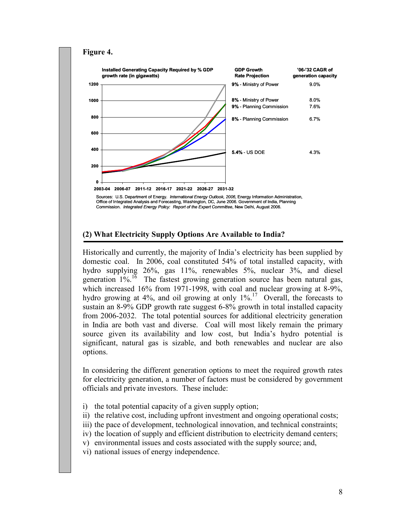#### Figure 4.  $\mathbf{0}$ 200 400 600 800 1000 1200 2003-04 2006-07 2011-12 2016-17 2021-22 2026-27 2031-32 Sources: U.S. Department of Energy. International Energy Outlook, 2006, Energy Information Administration, Installed Generating Capacity Required by % GDP growth rate (in gigawatts) 9% - Ministry of Power 8% - Planning Commission 5.4% - US DOE 9% - Planning Commission 8% - Ministry of Power '06-'32 CAGR of generation capacity 9.0% 8.0% 7.6% 6.7% 4.3% GDP Growth Rate Projection

Office of Integrated Analysis and Forecasting, Washington, DC, June 2006. Government of India, Planning<br>Commission. *Integrated Energy Policy: Report of the Expert Committee*, New Delhi, August 2006.

### (2) What Electricity Supply Options Are Available to India?

Historically and currently, the majority of India's electricity has been supplied by domestic coal. In 2006, coal constituted 54% of total installed capacity, with hydro supplying 26%, gas 11%, renewables 5%, nuclear 3%, and diesel generation  $1\%$ .<sup>16</sup> The fastest growing generation source has been natural gas, which increased 16% from 1971-1998, with coal and nuclear growing at 8-9%, hydro growing at  $4\%$ , and oil growing at only  $1\%$ <sup>17</sup> Overall, the forecasts to sustain an 8-9% GDP growth rate suggest 6-8% growth in total installed capacity from 2006-2032. The total potential sources for additional electricity generation in India are both vast and diverse. Coal will most likely remain the primary source given its availability and low cost, but India's hydro potential is significant, natural gas is sizable, and both renewables and nuclear are also options.

In considering the different generation options to meet the required growth rates for electricity generation, a number of factors must be considered by government officials and private investors. These include:

- i) the total potential capacity of a given supply option;
- ii) the relative cost, including upfront investment and ongoing operational costs;
- iii) the pace of development, technological innovation, and technical constraints;
- iv) the location of supply and efficient distribution to electricity demand centers;
- v) environmental issues and costs associated with the supply source; and,
- vi) national issues of energy independence.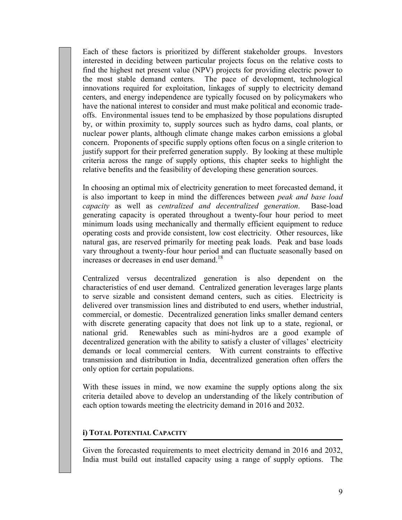Each of these factors is prioritized by different stakeholder groups. Investors interested in deciding between particular projects focus on the relative costs to find the highest net present value (NPV) projects for providing electric power to the most stable demand centers. The pace of development, technological innovations required for exploitation, linkages of supply to electricity demand centers, and energy independence are typically focused on by policymakers who have the national interest to consider and must make political and economic tradeoffs. Environmental issues tend to be emphasized by those populations disrupted by, or within proximity to, supply sources such as hydro dams, coal plants, or nuclear power plants, although climate change makes carbon emissions a global concern. Proponents of specific supply options often focus on a single criterion to justify support for their preferred generation supply. By looking at these multiple criteria across the range of supply options, this chapter seeks to highlight the relative benefits and the feasibility of developing these generation sources.

In choosing an optimal mix of electricity generation to meet forecasted demand, it is also important to keep in mind the differences between peak and base load capacity as well as centralized and decentralized generation. Base-load generating capacity is operated throughout a twenty-four hour period to meet minimum loads using mechanically and thermally efficient equipment to reduce operating costs and provide consistent, low cost electricity. Other resources, like natural gas, are reserved primarily for meeting peak loads. Peak and base loads vary throughout a twenty-four hour period and can fluctuate seasonally based on increases or decreases in end user demand.<sup>18</sup>

Centralized versus decentralized generation is also dependent on the characteristics of end user demand. Centralized generation leverages large plants to serve sizable and consistent demand centers, such as cities. Electricity is delivered over transmission lines and distributed to end users, whether industrial, commercial, or domestic. Decentralized generation links smaller demand centers with discrete generating capacity that does not link up to a state, regional, or national grid. Renewables such as mini-hydros are a good example of decentralized generation with the ability to satisfy a cluster of villages' electricity demands or local commercial centers. With current constraints to effective transmission and distribution in India, decentralized generation often offers the only option for certain populations.

With these issues in mind, we now examine the supply options along the six criteria detailed above to develop an understanding of the likely contribution of each option towards meeting the electricity demand in 2016 and 2032.

### i) TOTAL POTENTIAL CAPACITY

Given the forecasted requirements to meet electricity demand in 2016 and 2032, India must build out installed capacity using a range of supply options. The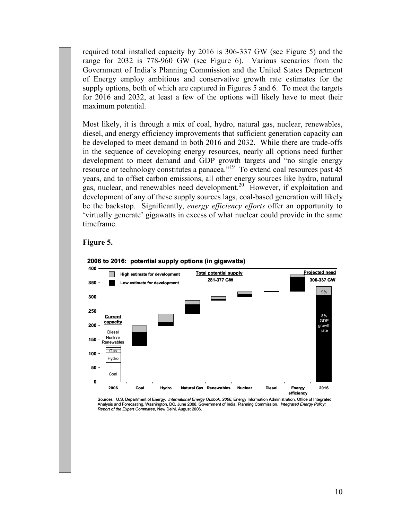required total installed capacity by 2016 is 306-337 GW (see Figure 5) and the range for 2032 is 778-960 GW (see Figure 6). Various scenarios from the Government of India's Planning Commission and the United States Department of Energy employ ambitious and conservative growth rate estimates for the supply options, both of which are captured in Figures 5 and 6. To meet the targets for 2016 and 2032, at least a few of the options will likely have to meet their maximum potential.

Most likely, it is through a mix of coal, hydro, natural gas, nuclear, renewables, diesel, and energy efficiency improvements that sufficient generation capacity can be developed to meet demand in both 2016 and 2032. While there are trade-offs in the sequence of developing energy resources, nearly all options need further development to meet demand and GDP growth targets and "no single energy resource or technology constitutes a panacea."<sup>19</sup> To extend coal resources past 45 years, and to offset carbon emissions, all other energy sources like hydro, natural gas, nuclear, and renewables need development.<sup>20</sup> However, if exploitation and development of any of these supply sources lags, coal-based generation will likely be the backstop. Significantly, energy efficiency efforts offer an opportunity to 'virtually generate' gigawatts in excess of what nuclear could provide in the same timeframe.

#### Figure 5.



#### 2006 to 2016: potential supply options (in gigawatts)

Sources: U.S. Department of Energy. *International Energy Outlook, 2006*, Energy Information Administration, Office of Integrated<br>Analysis and Forecasting, Washington, DC, June 2006. Government of India, Planning Commiss Report of the Expert Committee, New Delhi, August 2006.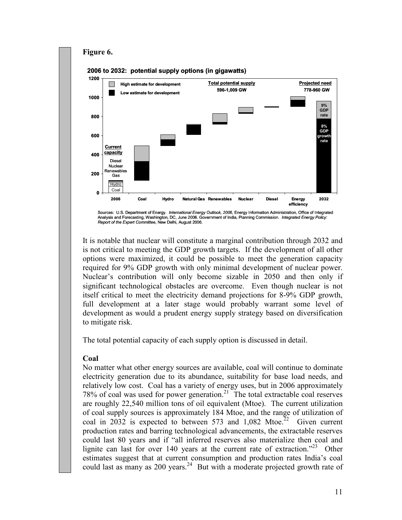

Analysis and Forecasting, Washington, DC, June 2006. Government of India, Planning Commission. Integrated Energy Policy: Report of the Expert Committee, New Delhi, August 2006.

It is notable that nuclear will constitute a marginal contribution through 2032 and is not critical to meeting the GDP growth targets. If the development of all other options were maximized, it could be possible to meet the generation capacity required for 9% GDP growth with only minimal development of nuclear power. Nuclear's contribution will only become sizable in 2050 and then only if significant technological obstacles are overcome. Even though nuclear is not itself critical to meet the electricity demand projections for 8-9% GDP growth, full development at a later stage would probably warrant some level of development as would a prudent energy supply strategy based on diversification to mitigate risk.

The total potential capacity of each supply option is discussed in detail.

### Coal

No matter what other energy sources are available, coal will continue to dominate electricity generation due to its abundance, suitability for base load needs, and relatively low cost. Coal has a variety of energy uses, but in 2006 approximately 78% of coal was used for power generation.<sup>21</sup> The total extractable coal reserves are roughly 22,540 million tons of oil equivalent (Mtoe). The current utilization of coal supply sources is approximately 184 Mtoe, and the range of utilization of coal in  $2032$  is expected to between 573 and 1,082 Mtoe.<sup>22</sup> Given current production rates and barring technological advancements, the extractable reserves could last 80 years and if "all inferred reserves also materialize then coal and lignite can last for over 140 years at the current rate of extraction.<sup> $23$ </sup> Other estimates suggest that at current consumption and production rates India's coal could last as many as 200 years.<sup>24</sup> But with a moderate projected growth rate of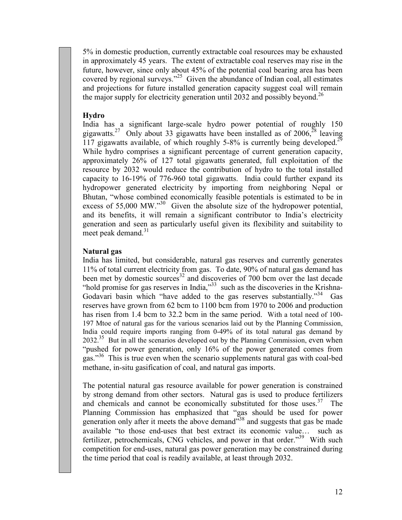5% in domestic production, currently extractable coal resources may be exhausted in approximately 45 years. The extent of extractable coal reserves may rise in the future, however, since only about 45% of the potential coal bearing area has been covered by regional surveys."<sup>25</sup> Given the abundance of Indian coal, all estimates and projections for future installed generation capacity suggest coal will remain the major supply for electricity generation until 2032 and possibly beyond.<sup>26</sup>

### Hydro

India has a significant large-scale hydro power potential of roughly 150 gigawatts.<sup>27</sup> Only about 33 gigawatts have been installed as of 2006,<sup>28</sup> leaving 117 gigawatts available, of which roughly 5-8% is currently being developed.<sup>29</sup> While hydro comprises a significant percentage of current generation capacity, approximately 26% of 127 total gigawatts generated, full exploitation of the resource by 2032 would reduce the contribution of hydro to the total installed capacity to 16-19% of 776-960 total gigawatts. India could further expand its hydropower generated electricity by importing from neighboring Nepal or Bhutan, "whose combined economically feasible potentials is estimated to be in excess of 55,000 MW."<sup>30</sup> Given the absolute size of the hydropower potential, and its benefits, it will remain a significant contributor to India's electricity generation and seen as particularly useful given its flexibility and suitability to meet peak demand. $31$ 

#### Natural gas

India has limited, but considerable, natural gas reserves and currently generates 11% of total current electricity from gas. To date, 90% of natural gas demand has been met by domestic sources<sup>32</sup> and discoveries of 700 bcm over the last decade "hold promise for gas reserves in India,"<sup>33</sup> such as the discoveries in the Krishna-Godavari basin which "have added to the gas reserves substantially."<sup>34</sup> Gas reserves have grown from 62 bcm to 1100 bcm from 1970 to 2006 and production has risen from 1.4 bcm to 32.2 bcm in the same period. With a total need of 100-197 Mtoe of natural gas for the various scenarios laid out by the Planning Commission, India could require imports ranging from 0-49% of its total natural gas demand by 2032.<sup>35</sup> But in all the scenarios developed out by the Planning Commission, even when "pushed for power generation, only 16% of the power generated comes from gas."<sup>36</sup> This is true even when the scenario supplements natural gas with coal-bed methane, in-situ gasification of coal, and natural gas imports.

The potential natural gas resource available for power generation is constrained by strong demand from other sectors. Natural gas is used to produce fertilizers and chemicals and cannot be economically substituted for those uses. $37$  The Planning Commission has emphasized that "gas should be used for power generation only after it meets the above demand<sup>338</sup> and suggests that gas be made available "to those end-uses that best extract its economic value… such as fertilizer, petrochemicals, CNG vehicles, and power in that order."<sup>39</sup> With such competition for end-uses, natural gas power generation may be constrained during the time period that coal is readily available, at least through 2032.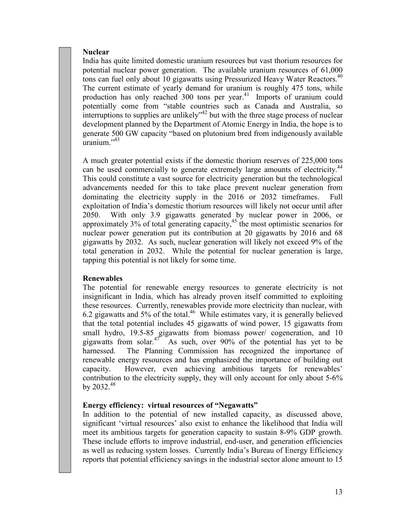### **Nuclear**

India has quite limited domestic uranium resources but vast thorium resources for potential nuclear power generation. The available uranium resources of 61,000 tons can fuel only about 10 gigawatts using Pressurized Heavy Water Reactors.<sup>40</sup> The current estimate of yearly demand for uranium is roughly 475 tons, while production has only reached 300 tons per year.<sup>41</sup> Imports of uranium could potentially come from "stable countries such as Canada and Australia, so  $\frac{1}{1}$  interruptions to supplies are unlikely<sup>-42</sup> but with the three stage process of nuclear development planned by the Department of Atomic Energy in India, the hope is to generate 500 GW capacity "based on plutonium bred from indigenously available  $uranium$ <sup> $,43$ </sup>

A much greater potential exists if the domestic thorium reserves of 225,000 tons can be used commercially to generate extremely large amounts of electricity.<sup>44</sup> This could constitute a vast source for electricity generation but the technological advancements needed for this to take place prevent nuclear generation from dominating the electricity supply in the 2016 or 2032 timeframes. Full exploitation of India's domestic thorium resources will likely not occur until after 2050. With only 3.9 gigawatts generated by nuclear power in 2006, or approximately  $3\%$  of total generating capacity,<sup>45</sup> the most optimistic scenarios for nuclear power generation put its contribution at 20 gigawatts by 2016 and 68 gigawatts by 2032. As such, nuclear generation will likely not exceed 9% of the total generation in 2032. While the potential for nuclear generation is large, tapping this potential is not likely for some time.

### Renewables

The potential for renewable energy resources to generate electricity is not insignificant in India, which has already proven itself committed to exploiting these resources. Currently, renewables provide more electricity than nuclear, with 6.2 gigawatts and 5% of the total.<sup>46</sup> While estimates vary, it is generally believed that the total potential includes 45 gigawatts of wind power, 15 gigawatts from small hydro, 19.5-85 gigawatts from biomass power/ cogeneration, and 10 gigawatts from solar.<sup>47</sup> As such, over 90% of the potential has yet to be harnessed. The Planning Commission has recognized the importance of renewable energy resources and has emphasized the importance of building out capacity. However, even achieving ambitious targets for renewables' contribution to the electricity supply, they will only account for only about 5-6% by  $2032.^{48}$ 

### Energy efficiency: virtual resources of "Negawatts"

In addition to the potential of new installed capacity, as discussed above, significant 'virtual resources' also exist to enhance the likelihood that India will meet its ambitious targets for generation capacity to sustain 8-9% GDP growth. These include efforts to improve industrial, end-user, and generation efficiencies as well as reducing system losses. Currently India's Bureau of Energy Efficiency reports that potential efficiency savings in the industrial sector alone amount to 15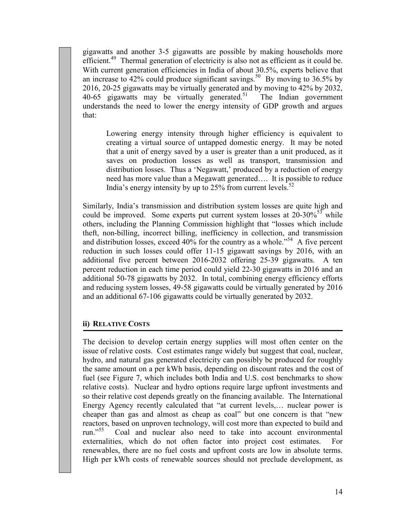gigawatts and another 3-5 gigawatts are possible by making households more efficient.<sup>49</sup> Thermal generation of electricity is also not as efficient as it could be. With current generation efficiencies in India of about 30.5%, experts believe that an increase to 42% could produce significant savings.<sup>50</sup> By moving to 36.5% by 2016, 20-25 gigawatts may be virtually generated and by moving to 42% by 2032,  $40-65$  gigawatts may be virtually generated.<sup>51</sup> The Indian government understands the need to lower the energy intensity of GDP growth and argues that:

Lowering energy intensity through higher efficiency is equivalent to creating a virtual source of untapped domestic energy. It may be noted that a unit of energy saved by a user is greater than a unit produced, as it saves on production losses as well as transport, transmission and distribution losses. Thus a 'Negawatt,' produced by a reduction of energy need has more value than a Megawatt generated…. It is possible to reduce India's energy intensity by up to  $25\%$  from current levels.<sup>52</sup>

Similarly, India's transmission and distribution system losses are quite high and could be improved. Some experts put current system losses at  $20-30\%^{53}$  while others, including the Planning Commission highlight that "losses which include theft, non-billing, incorrect billing, inefficiency in collection, and transmission and distribution losses, exceed  $40\%$  for the country as a whole.<sup> $354$ </sup> A five percent reduction in such losses could offer 11-15 gigawatt savings by 2016, with an additional five percent between 2016-2032 offering 25-39 gigawatts. A ten percent reduction in each time period could yield 22-30 gigawatts in 2016 and an additional 50-78 gigawatts by 2032. In total, combining energy efficiency efforts and reducing system losses, 49-58 gigawatts could be virtually generated by 2016 and an additional 67-106 gigawatts could be virtually generated by 2032.

### ii) RELATIVE COSTS

The decision to develop certain energy supplies will most often center on the issue of relative costs. Cost estimates range widely but suggest that coal, nuclear, hydro, and natural gas generated electricity can possibly be produced for roughly the same amount on a per kWh basis, depending on discount rates and the cost of fuel (see Figure 7, which includes both India and U.S. cost benchmarks to show relative costs). Nuclear and hydro options require large upfront investments and so their relative cost depends greatly on the financing available. The International Energy Agency recently calculated that "at current levels,… nuclear power is cheaper than gas and almost as cheap as coal" but one concern is that "new reactors, based on unproven technology, will cost more than expected to build and run."<sup>55</sup> Coal and nuclear also need to take into account environmental Coal and nuclear also need to take into account environmental externalities, which do not often factor into project cost estimates. For renewables, there are no fuel costs and upfront costs are low in absolute terms. High per kWh costs of renewable sources should not preclude development, as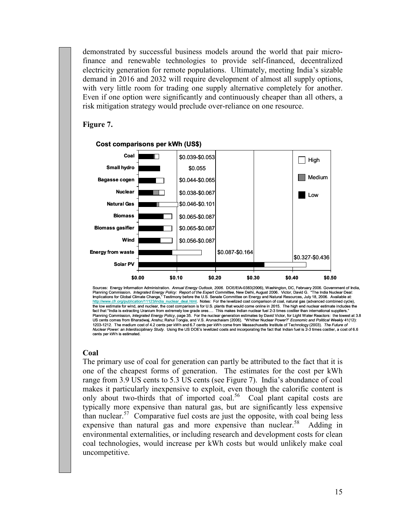demonstrated by successful business models around the world that pair microfinance and renewable technologies to provide self-financed, decentralized electricity generation for remote populations. Ultimately, meeting India's sizable demand in 2016 and 2032 will require development of almost all supply options, with very little room for trading one supply alternative completely for another. Even if one option were significantly and continuously cheaper than all others, a risk mitigation strategy would preclude over-reliance on one resource.

#### Figure 7.



Cost comparisons per kWh (US\$)

### **Coal**

The primary use of coal for generation can partly be attributed to the fact that it is one of the cheapest forms of generation. The estimates for the cost per kWh range from 3.9 US cents to 5.3 US cents (see Figure 7). India's abundance of coal makes it particularly inexpensive to exploit, even though the calorific content is only about two-thirds that of imported coal.<sup>56</sup> Coal plant capital costs are typically more expensive than natural gas, but are significantly less expensive than nuclear.<sup>57</sup> Comparative fuel costs are just the opposite, with coal being less expensive than natural gas and more expensive than nuclear.<sup>58</sup> Adding in environmental externalities, or including research and development costs for clean coal technologies, would increase per kWh costs but would unlikely make coal uncompetitive.

Sources: Energy Information Administration. Annual Energy Outlook, 2006. DOE/EIA-0383(2006), Washington, DC, February 2006. Government of India, Planning Commission. *Integrated Energy Policy: Report of the Expert Committee*, New Delhi, August 2006. Victor, David G. "The India Nuclear Deal:<br>Implications for Global Climate Change," Testimony before the U.S. Senate the low estimate for wind, and nuclear, the cost comparison is for U.S. plants that would come online in 2015. The high end nuclear estimate includes the<br>fact that "India is extracting Uranium from extremely low grade ores Planning Commission, Integrated Energy Policy, page 35. For the nuclear generation estimates by David Victor, for Light Water Reactors: the lowest at 3.8 US cents comes from Bharadwaj, Anshu; Rahul Tongia, and V.S. Arunachalam (2006). "Whither Nuclear Power?" Economic and Political Weekly 41(12): 1203-1212. The medium cost of 4.2 cents per kWh and 6.7 cents per kWh come from Massachusetts Institute of Technology (2003). *The Future of*<br>*Nuclear Power: an Interdisciplinary Study*. Using the US DOE's levelized costs cents per kWh is estimated.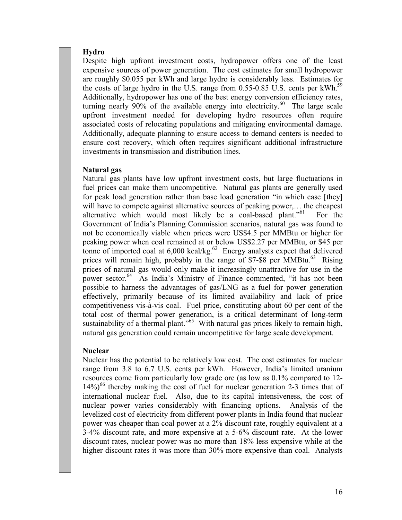#### Hydro

Despite high upfront investment costs, hydropower offers one of the least expensive sources of power generation. The cost estimates for small hydropower are roughly \$0.055 per kWh and large hydro is considerably less. Estimates for the costs of large hydro in the U.S. range from 0.55-0.85 U.S. cents per kWh.<sup>59</sup> Additionally, hydropower has one of the best energy conversion efficiency rates, turning nearly  $90\%$  of the available energy into electricity.<sup>60</sup> The large scale upfront investment needed for developing hydro resources often require associated costs of relocating populations and mitigating environmental damage. Additionally, adequate planning to ensure access to demand centers is needed to ensure cost recovery, which often requires significant additional infrastructure investments in transmission and distribution lines.

#### Natural gas

Natural gas plants have low upfront investment costs, but large fluctuations in fuel prices can make them uncompetitive. Natural gas plants are generally used for peak load generation rather than base load generation "in which case [they] will have to compete against alternative sources of peaking power,... the cheapest alternative which would most likely be a coal-based plant."<sup>61</sup> For the Government of India's Planning Commission scenarios, natural gas was found to not be economically viable when prices were US\$4.5 per MMBtu or higher for peaking power when coal remained at or below US\$2.27 per MMBtu, or \$45 per tonne of imported coal at  $6,000$  kcal/kg.<sup>62</sup> Energy analysts expect that delivered prices will remain high, probably in the range of \$7-\$8 per  $MMBtu$ <sup>63</sup> Rising prices of natural gas would only make it increasingly unattractive for use in the power sector.<sup>64</sup> As India's Ministry of Finance commented, "it has not been possible to harness the advantages of gas/LNG as a fuel for power generation effectively, primarily because of its limited availability and lack of price competitiveness vis-à-vis coal. Fuel price, constituting about 60 per cent of the total cost of thermal power generation, is a critical determinant of long-term sustainability of a thermal plant."<sup>65</sup> With natural gas prices likely to remain high, natural gas generation could remain uncompetitive for large scale development.

#### **Nuclear**

Nuclear has the potential to be relatively low cost. The cost estimates for nuclear range from 3.8 to 6.7 U.S. cents per kWh. However, India's limited uranium resources come from particularly low grade ore (as low as 0.1% compared to 12-  $14\%$ <sup>66</sup> thereby making the cost of fuel for nuclear generation 2-3 times that of international nuclear fuel. Also, due to its capital intensiveness, the cost of nuclear power varies considerably with financing options. Analysis of the levelized cost of electricity from different power plants in India found that nuclear power was cheaper than coal power at a 2% discount rate, roughly equivalent at a 3-4% discount rate, and more expensive at a 5-6% discount rate. At the lower discount rates, nuclear power was no more than 18% less expensive while at the higher discount rates it was more than 30% more expensive than coal. Analysts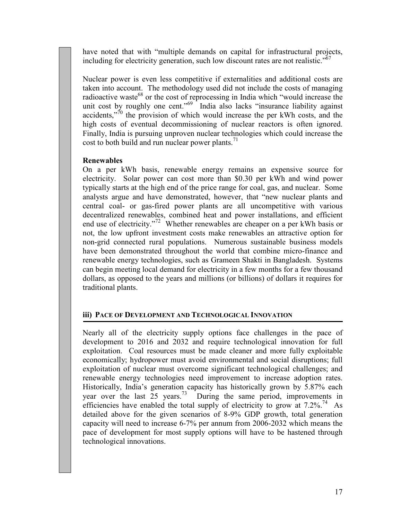have noted that with "multiple demands on capital for infrastructural projects, including for electricity generation, such low discount rates are not realistic." $67$ 

Nuclear power is even less competitive if externalities and additional costs are taken into account. The methodology used did not include the costs of managing radioactive waste<sup>68</sup> or the cost of reprocessing in India which "would increase the unit cost by roughly one cent."<sup>69</sup> India also lacks "insurance liability against accidents,"<sup> $70$ </sup> the provision of which would increase the per kWh costs, and the high costs of eventual decommissioning of nuclear reactors is often ignored. Finally, India is pursuing unproven nuclear technologies which could increase the cost to both build and run nuclear power plants. $<sup>71</sup>$ </sup>

### Renewables

On a per kWh basis, renewable energy remains an expensive source for electricity. Solar power can cost more than \$0.30 per kWh and wind power typically starts at the high end of the price range for coal, gas, and nuclear. Some analysts argue and have demonstrated, however, that "new nuclear plants and central coal- or gas-fired power plants are all uncompetitive with various decentralized renewables, combined heat and power installations, and efficient end use of electricity."<sup>72</sup> Whether renewables are cheaper on a per kWh basis or not, the low upfront investment costs make renewables an attractive option for non-grid connected rural populations. Numerous sustainable business models have been demonstrated throughout the world that combine micro-finance and renewable energy technologies, such as Grameen Shakti in Bangladesh. Systems can begin meeting local demand for electricity in a few months for a few thousand dollars, as opposed to the years and millions (or billions) of dollars it requires for traditional plants.

# iii) PACE OF DEVELOPMENT AND TECHNOLOGICAL INNOVATION

Nearly all of the electricity supply options face challenges in the pace of development to 2016 and 2032 and require technological innovation for full exploitation. Coal resources must be made cleaner and more fully exploitable economically; hydropower must avoid environmental and social disruptions; full exploitation of nuclear must overcome significant technological challenges; and renewable energy technologies need improvement to increase adoption rates. Historically, India's generation capacity has historically grown by 5.87% each year over the last  $25$  years.<sup>73</sup> During the same period, improvements in efficiencies have enabled the total supply of electricity to grow at 7.2%.<sup>74</sup> As detailed above for the given scenarios of 8-9% GDP growth, total generation capacity will need to increase 6-7% per annum from 2006-2032 which means the pace of development for most supply options will have to be hastened through technological innovations.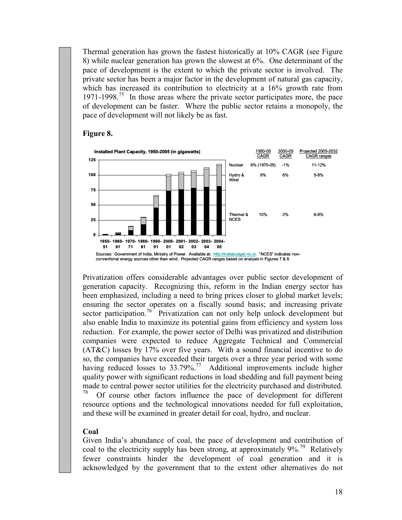Thermal generation has grown the fastest historically at 10% CAGR (see Figure 8) while nuclear generation has grown the slowest at 6%. One determinant of the pace of development is the extent to which the private sector is involved. The private sector has been a major factor in the development of natural gas capacity, which has increased its contribution to electricity at a 16% growth rate from 1971-1998.<sup>75</sup> In those areas where the private sector participates more, the pace of development can be faster. Where the public sector retains a monopoly, the pace of development will not likely be as fast.





Privatization offers considerable advantages over public sector development of generation capacity. Recognizing this, reform in the Indian energy sector has been emphasized, including a need to bring prices closer to global market levels; ensuring the sector operates on a fiscally sound basis; and increasing private sector participation.<sup>76</sup> Privatization can not only help unlock development but also enable India to maximize its potential gains from efficiency and system loss reduction. For example, the power sector of Delhi was privatized and distribution companies were expected to reduce Aggregate Technical and Commercial (AT&C) losses by 17% over five years. With a sound financial incentive to do so, the companies have exceeded their targets over a three year period with some having reduced losses to 33.79%.<sup>77</sup> Additional improvements include higher quality power with significant reductions in load shedding and full payment being made to central power sector utilities for the electricity purchased and distributed. Of course other factors influence the pace of development for different resource options and the technological innovations needed for full exploitation,

and these will be examined in greater detail for coal, hydro, and nuclear.

# Coal

Given India's abundance of coal, the pace of development and contribution of coal to the electricity supply has been strong, at approximately  $9\%$ <sup>79</sup> Relatively fewer constraints hinder the development of coal generation and it is acknowledged by the government that to the extent other alternatives do not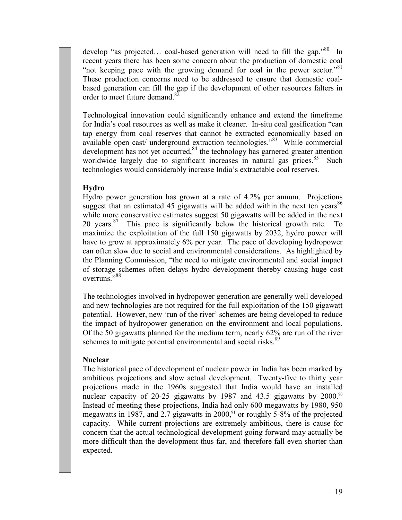develop "as projected... coal-based generation will need to fill the gap."<sup>80</sup> In recent years there has been some concern about the production of domestic coal "not keeping pace with the growing demand for coal in the power sector."<sup>81</sup> These production concerns need to be addressed to ensure that domestic coalbased generation can fill the gap if the development of other resources falters in order to meet future demand <sup>82</sup>

Technological innovation could significantly enhance and extend the timeframe for India's coal resources as well as make it cleaner. In-situ coal gasification "can tap energy from coal reserves that cannot be extracted economically based on available open cast/ underground extraction technologies."<sup>83</sup> While commercial development has not yet occurred, $84$  the technology has garnered greater attention worldwide largely due to significant increases in natural gas prices. $85$  Such technologies would considerably increase India's extractable coal reserves.

### Hydro

Hydro power generation has grown at a rate of 4.2% per annum. Projections suggest that an estimated 45 gigawatts will be added within the next ten years<sup>86</sup> while more conservative estimates suggest 50 gigawatts will be added in the next 20 years. $87$  This pace is significantly below the historical growth rate. To maximize the exploitation of the full 150 gigawatts by 2032, hydro power will have to grow at approximately 6% per year. The pace of developing hydropower can often slow due to social and environmental considerations. As highlighted by the Planning Commission, "the need to mitigate environmental and social impact of storage schemes often delays hydro development thereby causing huge cost overruns."<sup>88</sup>

The technologies involved in hydropower generation are generally well developed and new technologies are not required for the full exploitation of the 150 gigawatt potential. However, new 'run of the river' schemes are being developed to reduce the impact of hydropower generation on the environment and local populations. Of the 50 gigawatts planned for the medium term, nearly 62% are run of the river schemes to mitigate potential environmental and social risks.<sup>89</sup>

#### **Nuclear**

The historical pace of development of nuclear power in India has been marked by ambitious projections and slow actual development. Twenty-five to thirty year projections made in the 1960s suggested that India would have an installed nuclear capacity of 20-25 gigawatts by 1987 and 43.5 gigawatts by 2000.<sup>90</sup> Instead of meeting these projections, India had only 600 megawatts by 1980, 950 megawatts in 1987, and 2.7 gigawatts in 2000,<sup>91</sup> or roughly 5-8% of the projected capacity. While current projections are extremely ambitious, there is cause for concern that the actual technological development going forward may actually be more difficult than the development thus far, and therefore fall even shorter than expected.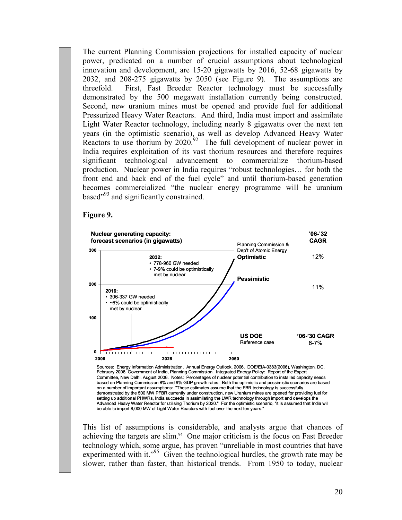The current Planning Commission projections for installed capacity of nuclear power, predicated on a number of crucial assumptions about technological innovation and development, are 15-20 gigawatts by 2016, 52-68 gigawatts by 2032, and 208-275 gigawatts by 2050 (see Figure 9). The assumptions are threefold. First, Fast Breeder Reactor technology must be successfully demonstrated by the 500 megawatt installation currently being constructed. Second, new uranium mines must be opened and provide fuel for additional Pressurized Heavy Water Reactors. And third, India must import and assimilate Light Water Reactor technology, including nearly 8 gigawatts over the next ten years (in the optimistic scenario), as well as develop Advanced Heavy Water Reactors to use thorium by  $2020^{92}$  The full development of nuclear power in India requires exploitation of its vast thorium resources and therefore requires significant technological advancement to commercialize thorium-based production. Nuclear power in India requires "robust technologies… for both the front end and back end of the fuel cycle" and until thorium-based generation becomes commercialized "the nuclear energy programme will be uranium based<sup>"93</sup> and significantly constrained.

#### Figure 9.



Sources: Energy Information Administration. Annual Energy Outlook, 2006. DOE/EIA-0383(2006), Washington, DC, February 2006. Government of India, Planning Commission. Integrated Energy Policy: Report of the Expert Committee, New Delhi, August 2006. Notes: Percentages of nuclear potential contribution to installed capacity needs based on Planning Commission 8% and 9% GDP growth rates. Both the optimistic and pessimistic scenarios are based on a number of important assumptions: "These estimates assume that the FBR technology is successfully demonstrated by the 500 MW PFBR currently under construction, new Uranium mines are opened for providing fuel for setting up additional PHWRs, India succeeds in assimilating the LWR technology through import and develops the Advanced Heavy Water Reactor for utilising Thorium by 2020." For the optimistic scenario, "it is assumed that India will be able to import 8,000 MW of Light Water Reactors with fuel over the next ten years."

This list of assumptions is considerable, and analysts argue that chances of achieving the targets are slim.<sup>94</sup> One major criticism is the focus on Fast Breeder technology which, some argue, has proven "unreliable in most countries that have experimented with it."<sup>95</sup> Given the technological hurdles, the growth rate may be slower, rather than faster, than historical trends. From 1950 to today, nuclear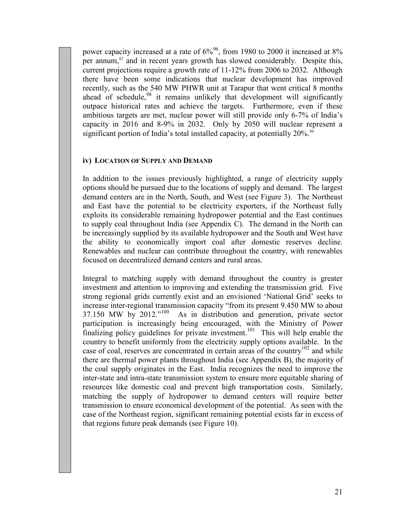power capacity increased at a rate of  $6\%^{96}$ , from 1980 to 2000 it increased at 8% per annum, $97$  and in recent years growth has slowed considerably. Despite this, current projections require a growth rate of 11-12% from 2006 to 2032. Although there have been some indications that nuclear development has improved recently, such as the 540 MW PHWR unit at Tarapur that went critical 8 months ahead of schedule, $98$  it remains unlikely that development will significantly outpace historical rates and achieve the targets. Furthermore, even if these ambitious targets are met, nuclear power will still provide only 6-7% of India's capacity in 2016 and 8-9% in 2032. Only by 2050 will nuclear represent a significant portion of India's total installed capacity, at potentially 20%.<sup>99</sup>

# iv) LOCATION OF SUPPLY AND DEMAND

In addition to the issues previously highlighted, a range of electricity supply options should be pursued due to the locations of supply and demand. The largest demand centers are in the North, South, and West (see Figure 3). The Northeast and East have the potential to be electricity exporters, if the Northeast fully exploits its considerable remaining hydropower potential and the East continues to supply coal throughout India (see Appendix C). The demand in the North can be increasingly supplied by its available hydropower and the South and West have the ability to economically import coal after domestic reserves decline. Renewables and nuclear can contribute throughout the country, with renewables focused on decentralized demand centers and rural areas.

Integral to matching supply with demand throughout the country is greater investment and attention to improving and extending the transmission grid. Five strong regional grids currently exist and an envisioned 'National Grid' seeks to increase inter-regional transmission capacity "from its present 9.450 MW to about 37.150 MW by 2012."<sup>100</sup> As in distribution and generation, private sector participation is increasingly being encouraged, with the Ministry of Power finalizing policy guidelines for private investment.<sup>101</sup> This will help enable the country to benefit uniformly from the electricity supply options available. In the case of coal, reserves are concentrated in certain areas of the country<sup>102</sup> and while there are thermal power plants throughout India (see Appendix B), the majority of the coal supply originates in the East. India recognizes the need to improve the inter-state and intra-state transmission system to ensure more equitable sharing of resources like domestic coal and prevent high transportation costs. Similarly, matching the supply of hydropower to demand centers will require better transmission to ensure economical development of the potential. As seen with the case of the Northeast region, significant remaining potential exists far in excess of that regions future peak demands (see Figure 10).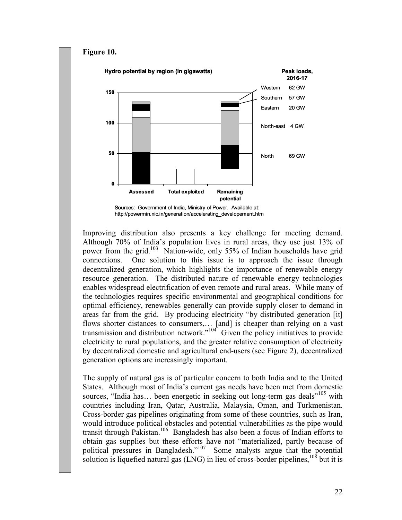

Improving distribution also presents a key challenge for meeting demand. Although 70% of India's population lives in rural areas, they use just 13% of power from the grid.<sup>103</sup> Nation-wide, only 55% of Indian households have grid connections. One solution to this issue is to approach the issue through decentralized generation, which highlights the importance of renewable energy resource generation. The distributed nature of renewable energy technologies enables widespread electrification of even remote and rural areas. While many of the technologies requires specific environmental and geographical conditions for optimal efficiency, renewables generally can provide supply closer to demand in areas far from the grid. By producing electricity "by distributed generation [it] flows shorter distances to consumers,… [and] is cheaper than relying on a vast transmission and distribution network."<sup>104</sup> Given the policy initiatives to provide electricity to rural populations, and the greater relative consumption of electricity by decentralized domestic and agricultural end-users (see Figure 2), decentralized generation options are increasingly important.

The supply of natural gas is of particular concern to both India and to the United States. Although most of India's current gas needs have been met from domestic sources, "India has... been energetic in seeking out long-term gas deals"<sup>105</sup> with countries including Iran, Qatar, Australia, Malaysia, Oman, and Turkmenistan. Cross-border gas pipelines originating from some of these countries, such as Iran, would introduce political obstacles and potential vulnerabilities as the pipe would transit through Pakistan.<sup>106</sup> Bangladesh has also been a focus of Indian efforts to obtain gas supplies but these efforts have not "materialized, partly because of political pressures in Bangladesh."<sup>107</sup> Some analysts argue that the potential solution is liquefied natural gas  $(LNG)$  in lieu of cross-border pipelines,  $108$  but it is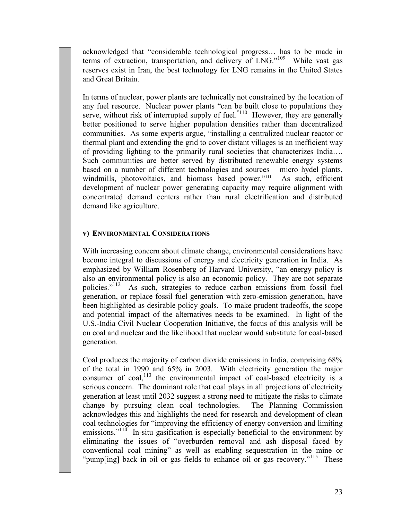acknowledged that "considerable technological progress… has to be made in terms of extraction, transportation, and delivery of LNG."<sup>109</sup> While vast gas reserves exist in Iran, the best technology for LNG remains in the United States and Great Britain.

In terms of nuclear, power plants are technically not constrained by the location of any fuel resource. Nuclear power plants "can be built close to populations they serve, without risk of interrupted supply of fuel.<sup>"110</sup> However, they are generally better positioned to serve higher population densities rather than decentralized communities. As some experts argue, "installing a centralized nuclear reactor or thermal plant and extending the grid to cover distant villages is an inefficient way of providing lighting to the primarily rural societies that characterizes India…. Such communities are better served by distributed renewable energy systems based on a number of different technologies and sources – micro hydel plants, windmills, photovoltaics, and biomass based power."<sup>111</sup> As such, efficient development of nuclear power generating capacity may require alignment with concentrated demand centers rather than rural electrification and distributed demand like agriculture.

### v) ENVIRONMENTAL CONSIDERATIONS

With increasing concern about climate change, environmental considerations have become integral to discussions of energy and electricity generation in India. As emphasized by William Rosenberg of Harvard University, "an energy policy is also an environmental policy is also an economic policy. They are not separate policies.<sup> $1/12$ </sup> As such, strategies to reduce carbon emissions from fossil fuel As such, strategies to reduce carbon emissions from fossil fuel generation, or replace fossil fuel generation with zero-emission generation, have been highlighted as desirable policy goals. To make prudent tradeoffs, the scope and potential impact of the alternatives needs to be examined. In light of the U.S.-India Civil Nuclear Cooperation Initiative, the focus of this analysis will be on coal and nuclear and the likelihood that nuclear would substitute for coal-based generation.

Coal produces the majority of carbon dioxide emissions in India, comprising 68% of the total in 1990 and 65% in 2003. With electricity generation the major consumer of coal,<sup>113</sup> the environmental impact of coal-based electricity is a serious concern. The dominant role that coal plays in all projections of electricity generation at least until 2032 suggest a strong need to mitigate the risks to climate change by pursuing clean coal technologies. The Planning Commission acknowledges this and highlights the need for research and development of clean coal technologies for "improving the efficiency of energy conversion and limiting emissions."<sup>114</sup> In-situ gasification is especially beneficial to the environment by eliminating the issues of "overburden removal and ash disposal faced by conventional coal mining" as well as enabling sequestration in the mine or "pump[ing] back in oil or gas fields to enhance oil or gas recovery."<sup>115</sup> These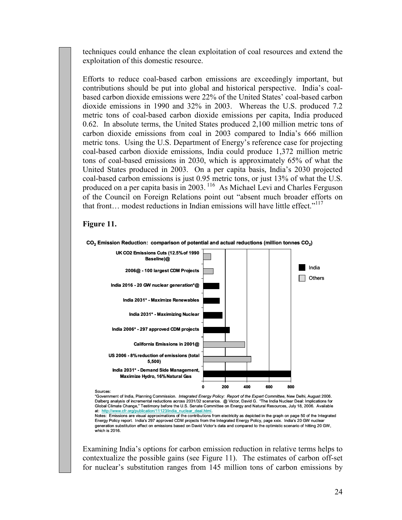techniques could enhance the clean exploitation of coal resources and extend the exploitation of this domestic resource.

Efforts to reduce coal-based carbon emissions are exceedingly important, but contributions should be put into global and historical perspective. India's coalbased carbon dioxide emissions were 22% of the United States' coal-based carbon dioxide emissions in 1990 and 32% in 2003. Whereas the U.S. produced 7.2 metric tons of coal-based carbon dioxide emissions per capita, India produced 0.62. In absolute terms, the United States produced 2,100 million metric tons of carbon dioxide emissions from coal in 2003 compared to India's 666 million metric tons. Using the U.S. Department of Energy's reference case for projecting coal-based carbon dioxide emissions, India could produce 1,372 million metric tons of coal-based emissions in 2030, which is approximately 65% of what the United States produced in 2003. On a per capita basis, India's 2030 projected coal-based carbon emissions is just 0.95 metric tons, or just 13% of what the U.S. produced on a per capita basis in 2003.<sup>116</sup> As Michael Levi and Charles Ferguson of the Council on Foreign Relations point out "absent much broader efforts on that front... modest reductions in Indian emissions will have little effect." $117$ 

#### Figure 11.



"Government of India, Planning Commission. *Integrated Energy Policy: Report of the Expert Committee*, New Delhi, August 2006.<br>Dalberg analysis of incremental reductions across 2031/32 scenarios. @ Victor, David G. "The In Global Climate Change," Testimony before the U.S. Senate Committee on Energy and Natural Resources, July 18, 2006. Available at: http://www.cfr.org/publication/11123/india\_nuclear\_deal.html.

Notes: Emissions are visual approximations of the contributions from electricity as depicted in the graph on page 50 of the Integrated Energy Policy report. India's 297 approved CDM projects from the Integrated Energy Policy, page xxix. India's 20 GW nuclear generation substitution effect on emissions based on David Victor's data and compared to the optimistic scenario of hitting 20 GW, which is 2016.

Examining India's options for carbon emission reduction in relative terms helps to contextualize the possible gains (see Figure 11). The estimates of carbon off-set for nuclear's substitution ranges from 145 million tons of carbon emissions by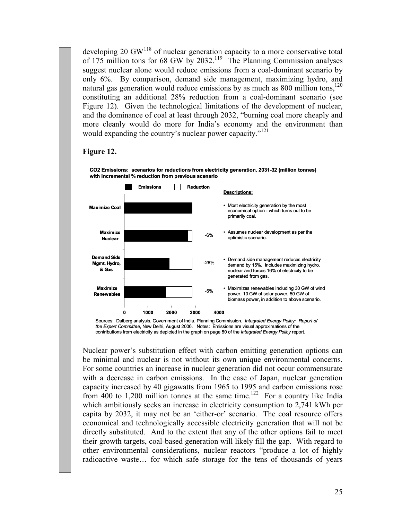developing 20 GW $<sup>118</sup>$  of nuclear generation capacity to a more conservative total</sup> of 175 million tons for 68 GW by 2032.<sup>119</sup> The Planning Commission analyses suggest nuclear alone would reduce emissions from a coal-dominant scenario by only 6%. By comparison, demand side management, maximizing hydro, and natural gas generation would reduce emissions by as much as 800 million tons,<sup>120</sup> constituting an additional 28% reduction from a coal-dominant scenario (see Figure 12). Given the technological limitations of the development of nuclear, and the dominance of coal at least through 2032, "burning coal more cheaply and more cleanly would do more for India's economy and the environment than would expanding the country's nuclear power capacity."<sup>121</sup>

#### Figure 12.



CO2 Emissions: scenarios for reductions from electricity generation, 2031-32 (million tonnes) with incremental % reduction from previous scenario

Sources: Dalberg analysis. Government of India, Planning Commission. Integrated Energy Policy: Report of the Expert Committee, New Delhi, August 2006. Notes: Emissions are visual approximations of the contributions from electricity as depicted in the graph on page 50 of the Integrated Energy Policy report.

Nuclear power's substitution effect with carbon emitting generation options can be minimal and nuclear is not without its own unique environmental concerns. For some countries an increase in nuclear generation did not occur commensurate with a decrease in carbon emissions. In the case of Japan, nuclear generation capacity increased by 40 gigawatts from 1965 to 1995 and carbon emissions rose from 400 to 1,200 million tonnes at the same time.<sup>122</sup> For a country like India which ambitiously seeks an increase in electricity consumption to 2,741 kWh per capita by 2032, it may not be an 'either-or' scenario. The coal resource offers economical and technologically accessible electricity generation that will not be directly substituted. And to the extent that any of the other options fail to meet their growth targets, coal-based generation will likely fill the gap. With regard to other environmental considerations, nuclear reactors "produce a lot of highly radioactive waste… for which safe storage for the tens of thousands of years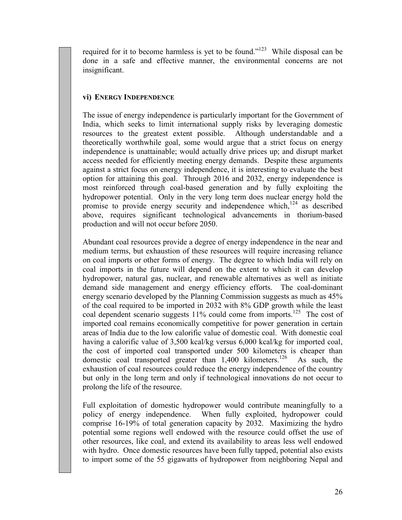required for it to become harmless is yet to be found."<sup>123</sup> While disposal can be done in a safe and effective manner, the environmental concerns are not insignificant.

# vi) ENERGY INDEPENDENCE

The issue of energy independence is particularly important for the Government of India, which seeks to limit international supply risks by leveraging domestic resources to the greatest extent possible. Although understandable and a theoretically worthwhile goal, some would argue that a strict focus on energy independence is unattainable; would actually drive prices up; and disrupt market access needed for efficiently meeting energy demands. Despite these arguments against a strict focus on energy independence, it is interesting to evaluate the best option for attaining this goal. Through 2016 and 2032, energy independence is most reinforced through coal-based generation and by fully exploiting the hydropower potential. Only in the very long term does nuclear energy hold the promise to provide energy security and independence which, $124$  as described above, requires significant technological advancements in thorium-based production and will not occur before 2050.

Abundant coal resources provide a degree of energy independence in the near and medium terms, but exhaustion of these resources will require increasing reliance on coal imports or other forms of energy. The degree to which India will rely on coal imports in the future will depend on the extent to which it can develop hydropower, natural gas, nuclear, and renewable alternatives as well as initiate demand side management and energy efficiency efforts. The coal-dominant energy scenario developed by the Planning Commission suggests as much as 45% of the coal required to be imported in 2032 with 8% GDP growth while the least coal dependent scenario suggests  $11\%$  could come from imports.<sup>125</sup> The cost of imported coal remains economically competitive for power generation in certain areas of India due to the low calorific value of domestic coal. With domestic coal having a calorific value of 3,500 kcal/kg versus 6,000 kcal/kg for imported coal, the cost of imported coal transported under 500 kilometers is cheaper than domestic coal transported greater than  $1,400$  kilometers.<sup>126</sup> As such, the exhaustion of coal resources could reduce the energy independence of the country but only in the long term and only if technological innovations do not occur to prolong the life of the resource.

Full exploitation of domestic hydropower would contribute meaningfully to a policy of energy independence. When fully exploited, hydropower could comprise 16-19% of total generation capacity by 2032. Maximizing the hydro potential some regions well endowed with the resource could offset the use of other resources, like coal, and extend its availability to areas less well endowed with hydro. Once domestic resources have been fully tapped, potential also exists to import some of the 55 gigawatts of hydropower from neighboring Nepal and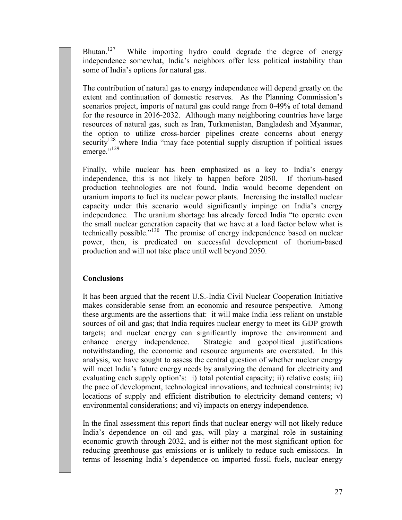Bhutan.<sup>127</sup> While importing hydro could degrade the degree of energy independence somewhat, India's neighbors offer less political instability than some of India's options for natural gas.

The contribution of natural gas to energy independence will depend greatly on the extent and continuation of domestic reserves. As the Planning Commission's scenarios project, imports of natural gas could range from 0-49% of total demand for the resource in 2016-2032. Although many neighboring countries have large resources of natural gas, such as Iran, Turkmenistan, Bangladesh and Myanmar, the option to utilize cross-border pipelines create concerns about energy security<sup>128</sup> where India "may face potential supply disruption if political issues emerge."<sup>129</sup>

Finally, while nuclear has been emphasized as a key to India's energy independence, this is not likely to happen before 2050. If thorium-based production technologies are not found, India would become dependent on uranium imports to fuel its nuclear power plants. Increasing the installed nuclear capacity under this scenario would significantly impinge on India's energy independence. The uranium shortage has already forced India "to operate even the small nuclear generation capacity that we have at a load factor below what is technically possible."<sup>130</sup> The promise of energy independence based on nuclear power, then, is predicated on successful development of thorium-based production and will not take place until well beyond 2050.

# **Conclusions**

It has been argued that the recent U.S.-India Civil Nuclear Cooperation Initiative makes considerable sense from an economic and resource perspective. Among these arguments are the assertions that: it will make India less reliant on unstable sources of oil and gas; that India requires nuclear energy to meet its GDP growth targets; and nuclear energy can significantly improve the environment and enhance energy independence. Strategic and geopolitical justifications notwithstanding, the economic and resource arguments are overstated. In this analysis, we have sought to assess the central question of whether nuclear energy will meet India's future energy needs by analyzing the demand for electricity and evaluating each supply option's: i) total potential capacity; ii) relative costs; iii) the pace of development, technological innovations, and technical constraints; iv) locations of supply and efficient distribution to electricity demand centers; v) environmental considerations; and vi) impacts on energy independence.

In the final assessment this report finds that nuclear energy will not likely reduce India's dependence on oil and gas, will play a marginal role in sustaining economic growth through 2032, and is either not the most significant option for reducing greenhouse gas emissions or is unlikely to reduce such emissions. In terms of lessening India's dependence on imported fossil fuels, nuclear energy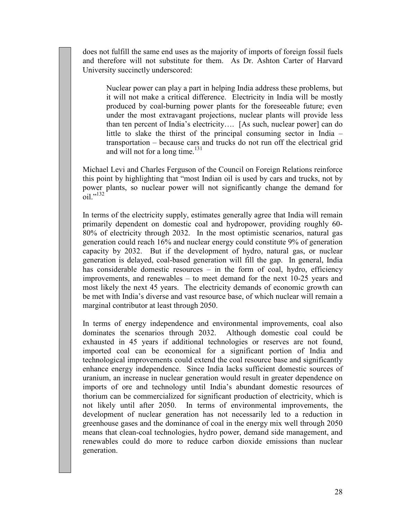does not fulfill the same end uses as the majority of imports of foreign fossil fuels and therefore will not substitute for them. As Dr. Ashton Carter of Harvard University succinctly underscored:

Nuclear power can play a part in helping India address these problems, but it will not make a critical difference. Electricity in India will be mostly produced by coal-burning power plants for the foreseeable future; even under the most extravagant projections, nuclear plants will provide less than ten percent of India's electricity…. [As such, nuclear power] can do little to slake the thirst of the principal consuming sector in India – transportation – because cars and trucks do not run off the electrical grid and will not for a long time. $^{131}$ 

Michael Levi and Charles Ferguson of the Council on Foreign Relations reinforce this point by highlighting that "most Indian oil is used by cars and trucks, not by power plants, so nuclear power will not significantly change the demand for  $\frac{1}{10}$ <sup>,,132</sup>

In terms of the electricity supply, estimates generally agree that India will remain primarily dependent on domestic coal and hydropower, providing roughly 60- 80% of electricity through 2032. In the most optimistic scenarios, natural gas generation could reach 16% and nuclear energy could constitute 9% of generation capacity by 2032. But if the development of hydro, natural gas, or nuclear generation is delayed, coal-based generation will fill the gap. In general, India has considerable domestic resources – in the form of coal, hydro, efficiency improvements, and renewables – to meet demand for the next 10-25 years and most likely the next 45 years. The electricity demands of economic growth can be met with India's diverse and vast resource base, of which nuclear will remain a marginal contributor at least through 2050.

In terms of energy independence and environmental improvements, coal also dominates the scenarios through 2032. Although domestic coal could be dominates the scenarios through 2032. exhausted in 45 years if additional technologies or reserves are not found, imported coal can be economical for a significant portion of India and technological improvements could extend the coal resource base and significantly enhance energy independence. Since India lacks sufficient domestic sources of uranium, an increase in nuclear generation would result in greater dependence on imports of ore and technology until India's abundant domestic resources of thorium can be commercialized for significant production of electricity, which is not likely until after 2050. In terms of environmental improvements, the development of nuclear generation has not necessarily led to a reduction in greenhouse gases and the dominance of coal in the energy mix well through 2050 means that clean-coal technologies, hydro power, demand side management, and renewables could do more to reduce carbon dioxide emissions than nuclear generation.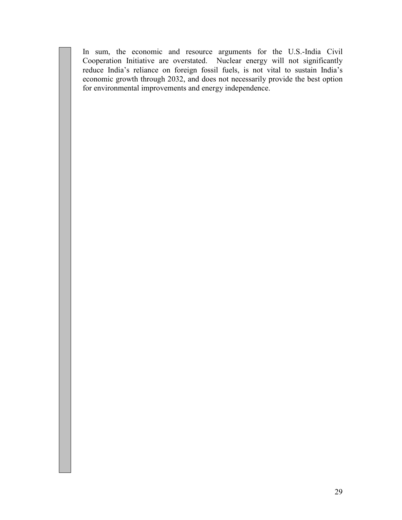In sum, the economic and resource arguments for the U.S.-India Civil Cooperation Initiative are overstated. Nuclear energy will not significantly reduce India's reliance on foreign fossil fuels, is not vital to sustain India's economic growth through 2032, and does not necessarily provide the best option for environmental improvements and energy independence.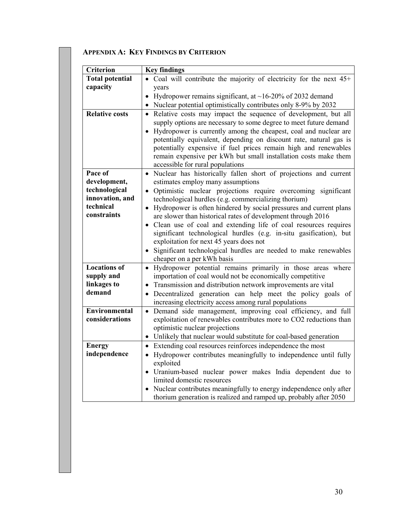| <b>Criterion</b>                   | <b>Key findings</b>                                                                                                                                                                                                                                                                                                                                                                     |
|------------------------------------|-----------------------------------------------------------------------------------------------------------------------------------------------------------------------------------------------------------------------------------------------------------------------------------------------------------------------------------------------------------------------------------------|
| <b>Total potential</b><br>capacity | • Coal will contribute the majority of electricity for the next $45+$                                                                                                                                                                                                                                                                                                                   |
|                                    | years<br>Hydropower remains significant, at $\sim$ 16-20% of 2032 demand<br>$\bullet$                                                                                                                                                                                                                                                                                                   |
|                                    | • Nuclear potential optimistically contributes only 8-9% by 2032                                                                                                                                                                                                                                                                                                                        |
| <b>Relative costs</b>              | Relative costs may impact the sequence of development, but all                                                                                                                                                                                                                                                                                                                          |
|                                    | supply options are necessary to some degree to meet future demand<br>• Hydropower is currently among the cheapest, coal and nuclear are<br>potentially equivalent, depending on discount rate, natural gas is<br>potentially expensive if fuel prices remain high and renewables<br>remain expensive per kWh but small installation costs make them<br>accessible for rural populations |
| Pace of                            | • Nuclear has historically fallen short of projections and current                                                                                                                                                                                                                                                                                                                      |
| development,<br>technological      | estimates employ many assumptions<br>· Optimistic nuclear projections require overcoming significant                                                                                                                                                                                                                                                                                    |
| innovation, and                    | technological hurdles (e.g. commercializing thorium)                                                                                                                                                                                                                                                                                                                                    |
| technical                          | • Hydropower is often hindered by social pressures and current plans                                                                                                                                                                                                                                                                                                                    |
| constraints                        | are slower than historical rates of development through 2016                                                                                                                                                                                                                                                                                                                            |
|                                    | • Clean use of coal and extending life of coal resources requires<br>significant technological hurdles (e.g. in-situ gasification), but<br>exploitation for next 45 years does not<br>Significant technological hurdles are needed to make renewables<br>cheaper on a per kWh basis                                                                                                     |
| <b>Locations of</b>                | · Hydropower potential remains primarily in those areas where                                                                                                                                                                                                                                                                                                                           |
| supply and                         | importation of coal would not be economically competitive                                                                                                                                                                                                                                                                                                                               |
| linkages to<br>demand              | • Transmission and distribution network improvements are vital<br>Decentralized generation can help meet the policy goals of                                                                                                                                                                                                                                                            |
|                                    | increasing electricity access among rural populations                                                                                                                                                                                                                                                                                                                                   |
| <b>Environmental</b>               | Demand side management, improving coal efficiency, and full<br>$\bullet$                                                                                                                                                                                                                                                                                                                |
| considerations                     | exploitation of renewables contributes more to CO2 reductions than                                                                                                                                                                                                                                                                                                                      |
|                                    | optimistic nuclear projections                                                                                                                                                                                                                                                                                                                                                          |
|                                    | • Unlikely that nuclear would substitute for coal-based generation                                                                                                                                                                                                                                                                                                                      |
| <b>Energy</b><br>independence      | • Extending coal resources reinforces independence the most                                                                                                                                                                                                                                                                                                                             |
|                                    | • Hydropower contributes meaningfully to independence until fully<br>exploited                                                                                                                                                                                                                                                                                                          |
|                                    | · Uranium-based nuclear power makes India dependent due to                                                                                                                                                                                                                                                                                                                              |
|                                    | limited domestic resources                                                                                                                                                                                                                                                                                                                                                              |
|                                    | Nuclear contributes meaningfully to energy independence only after<br>thorium generation is realized and ramped up, probably after 2050                                                                                                                                                                                                                                                 |

# APPENDIX A: KEY FINDINGS BY CRITERION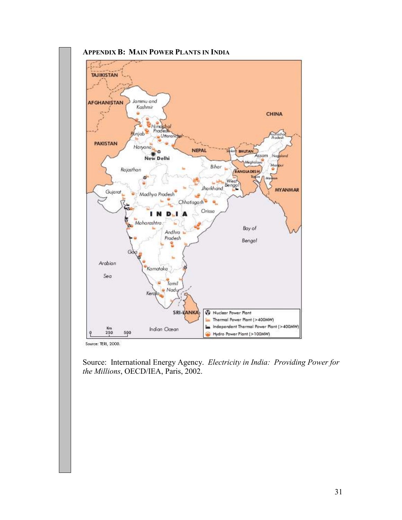

Source: International Energy Agency. Electricity in India: Providing Power for the Millions, OECD/IEA, Paris, 2002.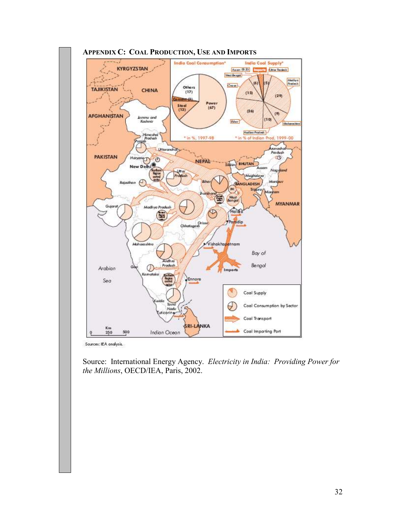

Sources: IEA analysis.

Source: International Energy Agency. Electricity in India: Providing Power for the Millions, OECD/IEA, Paris, 2002.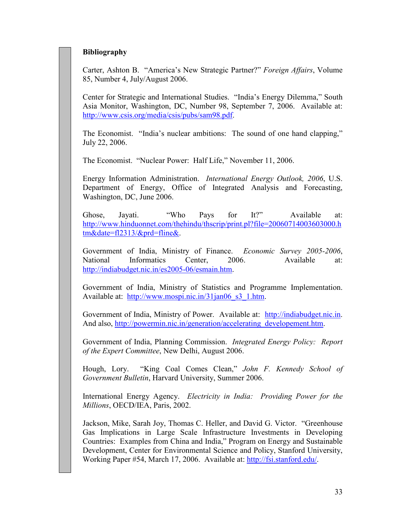# Bibliography

Carter, Ashton B. "America's New Strategic Partner?" Foreign Affairs, Volume 85, Number 4, July/August 2006.

Center for Strategic and International Studies. "India's Energy Dilemma," South Asia Monitor, Washington, DC, Number 98, September 7, 2006. Available at: http://www.csis.org/media/csis/pubs/sam98.pdf.

The Economist. "India's nuclear ambitions: The sound of one hand clapping," July 22, 2006.

The Economist. "Nuclear Power: Half Life," November 11, 2006.

Energy Information Administration. International Energy Outlook, 2006, U.S. Department of Energy, Office of Integrated Analysis and Forecasting, Washington, DC, June 2006.

Ghose, Jayati. "Who Pays for It?" Available at: http://www.hinduonnet.com/thehindu/thscrip/print.pl?file=20060714003603000.h tm&date=fl2313/&prd=fline&.

Government of India, Ministry of Finance. Economic Survey 2005-2006, National Informatics Center, 2006. Available at: http://indiabudget.nic.in/es2005-06/esmain.htm.

Government of India, Ministry of Statistics and Programme Implementation. Available at: http://www.mospi.nic.in/31jan06\_s3\_1.htm.

Government of India, Ministry of Power. Available at: http://indiabudget.nic.in. And also, http://powermin.nic.in/generation/accelerating\_developement.htm.

Government of India, Planning Commission. Integrated Energy Policy: Report of the Expert Committee, New Delhi, August 2006.

Hough, Lory. "King Coal Comes Clean," John F. Kennedy School of Government Bulletin, Harvard University, Summer 2006.

International Energy Agency. Electricity in India: Providing Power for the Millions, OECD/IEA, Paris, 2002.

Jackson, Mike, Sarah Joy, Thomas C. Heller, and David G. Victor. "Greenhouse Gas Implications in Large Scale Infrastructure Investments in Developing Countries: Examples from China and India," Program on Energy and Sustainable Development, Center for Environmental Science and Policy, Stanford University, Working Paper #54, March 17, 2006. Available at: http://fsi.stanford.edu/.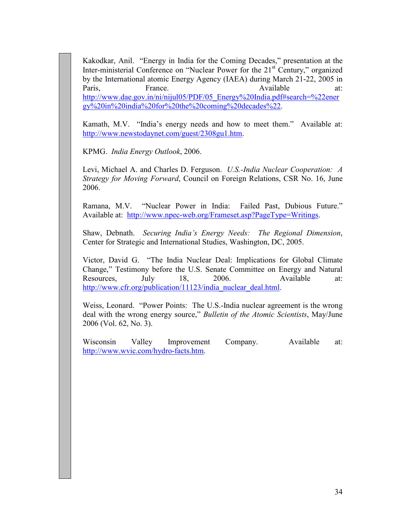Kakodkar, Anil. "Energy in India for the Coming Decades," presentation at the Inter-ministerial Conference on "Nuclear Power for the 21<sup>st</sup> Century," organized by the International atomic Energy Agency (IAEA) during March 21-22, 2005 in Paris, France. Available at: http://www.dae.gov.in/ni/nijul05/PDF/05\_Energy%20India.pdf#search=%22ener gy%20in%20india%20for%20the%20coming%20decades%22.

Kamath, M.V. "India's energy needs and how to meet them." Available at: http://www.newstodaynet.com/guest/2308gu1.htm.

KPMG. India Energy Outlook, 2006.

Levi, Michael A. and Charles D. Ferguson. U.S.-India Nuclear Cooperation: A Strategy for Moving Forward, Council on Foreign Relations, CSR No. 16, June 2006.

Ramana, M.V. "Nuclear Power in India: Failed Past, Dubious Future." Available at: http://www.npec-web.org/Frameset.asp?PageType=Writings.

Shaw, Debnath. Securing India's Energy Needs: The Regional Dimension, Center for Strategic and International Studies, Washington, DC, 2005.

Victor, David G. "The India Nuclear Deal: Implications for Global Climate Change," Testimony before the U.S. Senate Committee on Energy and Natural Resources, July 18, 2006. Available at: http://www.cfr.org/publication/11123/india\_nuclear\_deal.html.

Weiss, Leonard. "Power Points: The U.S.-India nuclear agreement is the wrong deal with the wrong energy source," Bulletin of the Atomic Scientists, May/June 2006 (Vol. 62, No. 3).

Wisconsin Valley Improvement Company. Available at: http://www.wvic.com/hydro-facts.htm.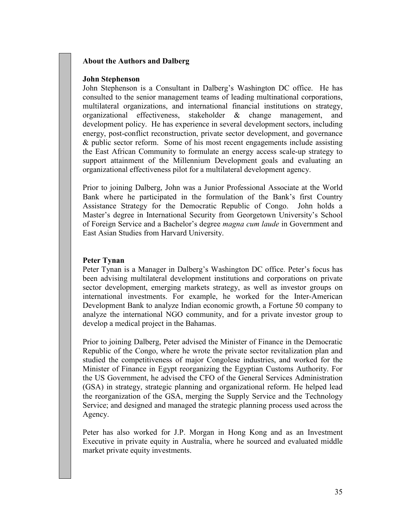# About the Authors and Dalberg

#### John Stephenson

John Stephenson is a Consultant in Dalberg's Washington DC office. He has consulted to the senior management teams of leading multinational corporations, multilateral organizations, and international financial institutions on strategy, organizational effectiveness, stakeholder & change management, and development policy. He has experience in several development sectors, including energy, post-conflict reconstruction, private sector development, and governance & public sector reform. Some of his most recent engagements include assisting the East African Community to formulate an energy access scale-up strategy to support attainment of the Millennium Development goals and evaluating an organizational effectiveness pilot for a multilateral development agency.

Prior to joining Dalberg, John was a Junior Professional Associate at the World Bank where he participated in the formulation of the Bank's first Country Assistance Strategy for the Democratic Republic of Congo. John holds a Master's degree in International Security from Georgetown University's School of Foreign Service and a Bachelor's degree magna cum laude in Government and East Asian Studies from Harvard University.

### Peter Tynan

Peter Tynan is a Manager in Dalberg's Washington DC office. Peter's focus has been advising multilateral development institutions and corporations on private sector development, emerging markets strategy, as well as investor groups on international investments. For example, he worked for the Inter-American Development Bank to analyze Indian economic growth, a Fortune 50 company to analyze the international NGO community, and for a private investor group to develop a medical project in the Bahamas.

Prior to joining Dalberg, Peter advised the Minister of Finance in the Democratic Republic of the Congo, where he wrote the private sector revitalization plan and studied the competitiveness of major Congolese industries, and worked for the Minister of Finance in Egypt reorganizing the Egyptian Customs Authority. For the US Government, he advised the CFO of the General Services Administration (GSA) in strategy, strategic planning and organizational reform. He helped lead the reorganization of the GSA, merging the Supply Service and the Technology Service; and designed and managed the strategic planning process used across the Agency.

Peter has also worked for J.P. Morgan in Hong Kong and as an Investment Executive in private equity in Australia, where he sourced and evaluated middle market private equity investments.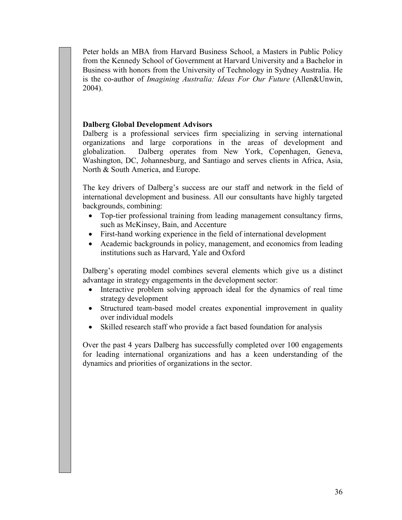Peter holds an MBA from Harvard Business School, a Masters in Public Policy from the Kennedy School of Government at Harvard University and a Bachelor in Business with honors from the University of Technology in Sydney Australia. He is the co-author of Imagining Australia: Ideas For Our Future (Allen&Unwin, 2004).

# Dalberg Global Development Advisors

Dalberg is a professional services firm specializing in serving international organizations and large corporations in the areas of development and globalization. Dalberg operates from New York, Copenhagen, Geneva, Washington, DC, Johannesburg, and Santiago and serves clients in Africa, Asia, North & South America, and Europe.

The key drivers of Dalberg's success are our staff and network in the field of international development and business. All our consultants have highly targeted backgrounds, combining:

- Top-tier professional training from leading management consultancy firms, such as McKinsey, Bain, and Accenture
- First-hand working experience in the field of international development
- Academic backgrounds in policy, management, and economics from leading institutions such as Harvard, Yale and Oxford

Dalberg's operating model combines several elements which give us a distinct advantage in strategy engagements in the development sector:

- Interactive problem solving approach ideal for the dynamics of real time strategy development
- Structured team-based model creates exponential improvement in quality over individual models
- Skilled research staff who provide a fact based foundation for analysis

Over the past 4 years Dalberg has successfully completed over 100 engagements for leading international organizations and has a keen understanding of the dynamics and priorities of organizations in the sector.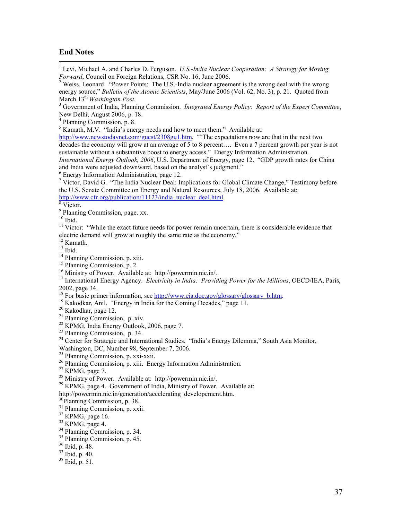#### End Notes

1<br><sup>1</sup> Levi, Michael A. and Charles D. Ferguson. U.S.-India Nuclear Cooperation: A Strategy for Moving Forward, Council on Foreign Relations, CSR No. 16, June 2006.

<sup>3</sup> Government of India, Planning Commission. Integrated Energy Policy: Report of the Expert Committee, New Delhi, August 2006, p. 18.

4 Planning Commission, p. 8.

<sup>5</sup> Kamath, M.V. "India's energy needs and how to meet them." Available at:

http://www.newstodaynet.com/guest/2308gu1.htm. "The expectations now are that in the next two decades the economy will grow at an average of 5 to 8 percent…. Even a 7 percent growth per year is not sustainable without a substantive boost to energy access." Energy Information Administration.

International Energy Outlook, 2006, U.S. Department of Energy, page 12. "GDP growth rates for China and India were adjusted downward, based on the analyst's judgment."

6 Energy Information Administration, page 12.

<sup>7</sup> Victor, David G. "The India Nuclear Deal: Implications for Global Climate Change," Testimony before the U.S. Senate Committee on Energy and Natural Resources, July 18, 2006. Available at: http://www.cfr.org/publication/11123/india\_nuclear\_deal.html.

8 Victor.

<sup>9</sup> Planning Commission, page. xx.

 $10$  Ibid.

<sup>11</sup> Victor: "While the exact future needs for power remain uncertain, there is considerable evidence that electric demand will grow at roughly the same rate as the economy."

 $12$  Kamath.

 $13$  Ibid.

<sup>14</sup> Planning Commission, p. xiii.

<sup>15</sup> Planning Commission, p. 2.

<sup>16</sup> Ministry of Power. Available at: http://powermin.nic.in/.

 $17$  International Energy Agency. Electricity in India: Providing Power for the Millions, OECD/IEA, Paris, 2002, page 34.

<sup>18</sup> For basic primer information, see http://www.eia.doe.gov/glossary/glossary\_b.htm.

<sup>19</sup> Kakodkar, Anil. "Energy in India for the Coming Decades," page 11.

<sup>20</sup> Kakodkar, page 12.

<sup>21</sup> Planning Commission, p. xiv.

 $22$  KPMG, India Energy Outlook, 2006, page 7.

<sup>23</sup> Planning Commission, p. 34.

<sup>24</sup> Center for Strategic and International Studies. "India's Energy Dilemma," South Asia Monitor,

Washington, DC, Number 98, September 7, 2006.

 $25$  Planning Commission, p. xxi-xxii.

<sup>26</sup> Planning Commission, p. xiii. Energy Information Administration.

 $27$  KPMG, page 7.

<sup>28</sup> Ministry of Power. Available at: http://powermin.nic.in/.

 $29$  KPMG, page 4. Government of India, Ministry of Power. Available at:

http://powermin.nic.in/generation/accelerating\_developement.htm.

<sup>30</sup>Planning Commission, p. 38.

<sup>31</sup> Planning Commission, p. xxii.

 $32$  KPMG, page 16.

 $33$  KPMG, page 4.

<sup>34</sup> Planning Commission, p. 34.

<sup>35</sup> Planning Commission, p. 45.

<sup>36</sup> Ibid, p. 48.

 $37$  Ibid, p. 40.

 $38$  Ibid, p. 51.

<sup>&</sup>lt;sup>2</sup> Weiss, Leonard. "Power Points: The U.S.-India nuclear agreement is the wrong deal with the wrong energy source," Bulletin of the Atomic Scientists, May/June 2006 (Vol. 62, No. 3), p. 21. Quoted from March  $13<sup>th</sup> Washington Post.$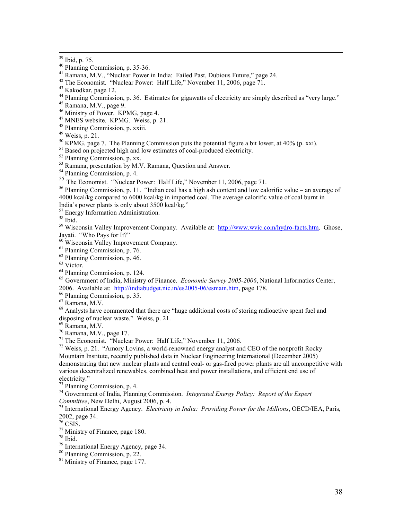-

- Ramana, M.V., "Nuclear Power in India: Failed Past, Dubious Future," page 24.
- The Economist. "Nuclear Power: Half Life," November 11, 2006, page 71.

- <sup>44</sup> Planning Commission, p. 36. Estimates for gigawatts of electricity are simply described as "very large."
- Ramana, M.V., page 9.
- <sup>46</sup> Ministry of Power. KPMG, page 4.
- <sup>47</sup> MNES website. KPMG. Weiss, p. 21.
- Planning Commission, p. xxiii.
- Weiss, p. 21.
- KPMG, page 7. The Planning Commission puts the potential figure a bit lower, at 40% (p. xxi).

Based on projected high and low estimates of coal-produced electricity.

Planning Commission, p. xx.

<sup>53</sup> Ramana, presentation by M.V. Ramana, Question and Answer.

Planning Commission, p. 4.

The Economist. "Nuclear Power: Half Life," November 11, 2006, page 71.

 Planning Commission, p. 11. "Indian coal has a high ash content and low calorific value – an average of 4000 kcal/kg compared to 6000 kcal/kg in imported coal. The average calorific value of coal burnt in India's power plants is only about 3500 kcal/kg."

<sup>57</sup> Energy Information Administration.

Ibid.

<sup>59</sup> Wisconsin Valley Improvement Company. Available at: http://www.wvic.com/hydro-facts.htm. Ghose, Jayati. "Who Pays for It?"

Wisconsin Valley Improvement Company.

Planning Commission, p. 76.

Planning Commission, p. 46.

Victor.

Planning Commission, p. 124.

 $^{65}$  Government of India, Ministry of Finance. *Economic Survey 2005-2006*, National Informatics Center, 2006. Available at: http://indiabudget.nic.in/es2005-06/esmain.htm, page 178.

Planning Commission, p. 35.

Ramana, M.V.

<sup>68</sup> Analysts have commented that there are "huge additional costs of storing radioactive spent fuel and disposing of nuclear waste." Weiss, p. 21.

Ramana, M.V.

Ramana, M.V., page 17.

The Economist. "Nuclear Power: Half Life," November 11, 2006.

 Weiss, p. 21. "Amory Lovins, a world-renowned energy analyst and CEO of the nonprofit Rocky Mountain Institute, recently published data in Nuclear Engineering International (December 2005) demonstrating that new nuclear plants and central coal- or gas-fired power plants are all uncompetitive with various decentralized renewables, combined heat and power installations, and efficient end use of electricity."

Planning Commission, p. 4.

 Government of India, Planning Commission. Integrated Energy Policy: Report of the Expert Committee, New Delhi, August 2006, p. 4.

 $^{75}$  International Energy Agency. Electricity in India: Providing Power for the Millions, OECD/IEA, Paris, 2002, page 34.

CSIS.

Ministry of Finance, page 180.

International Energy Agency, page 34.

Ibid, p. 75.

Planning Commission, p. 35-36.

Kakodkar, page 12.

Ibid.

Planning Commission, p. 22.

Ministry of Finance, page 177.